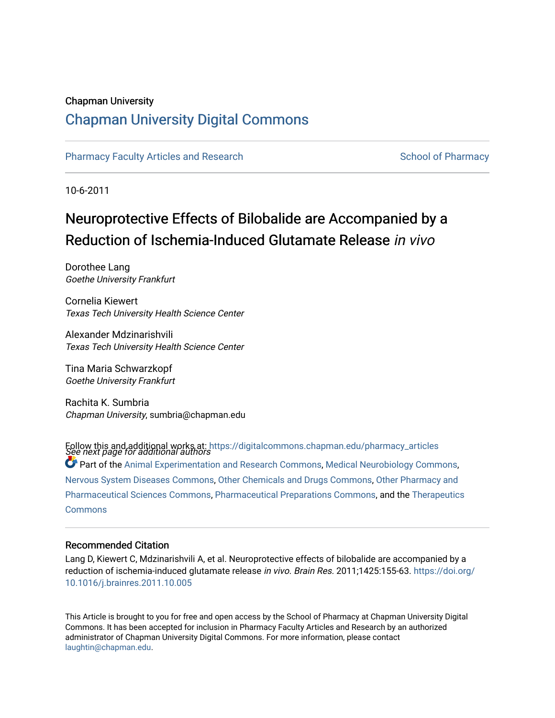# Chapman University

# [Chapman University Digital Commons](https://digitalcommons.chapman.edu/)

[Pharmacy Faculty Articles and Research](https://digitalcommons.chapman.edu/pharmacy_articles) [School of Pharmacy](https://digitalcommons.chapman.edu/cusp) School of Pharmacy

10-6-2011

# Neuroprotective Effects of Bilobalide are Accompanied by a Reduction of Ischemia-Induced Glutamate Release in vivo

Dorothee Lang Goethe University Frankfurt

Cornelia Kiewert Texas Tech University Health Science Center

Alexander Mdzinarishvili Texas Tech University Health Science Center

Tina Maria Schwarzkopf Goethe University Frankfurt

Rachita K. Sumbria Chapman University, sumbria@chapman.edu

Follow this and additional works at: [https://digitalcommons.chapman.edu/pharmacy\\_articles](https://digitalcommons.chapman.edu/pharmacy_articles?utm_source=digitalcommons.chapman.edu%2Fpharmacy_articles%2F868&utm_medium=PDF&utm_campaign=PDFCoverPages)<br>See next page for additional authors  $\bullet$  Part of the [Animal Experimentation and Research Commons,](http://network.bepress.com/hgg/discipline/1390?utm_source=digitalcommons.chapman.edu%2Fpharmacy_articles%2F868&utm_medium=PDF&utm_campaign=PDFCoverPages) [Medical Neurobiology Commons,](http://network.bepress.com/hgg/discipline/674?utm_source=digitalcommons.chapman.edu%2Fpharmacy_articles%2F868&utm_medium=PDF&utm_campaign=PDFCoverPages) [Nervous System Diseases Commons](http://network.bepress.com/hgg/discipline/928?utm_source=digitalcommons.chapman.edu%2Fpharmacy_articles%2F868&utm_medium=PDF&utm_campaign=PDFCoverPages), [Other Chemicals and Drugs Commons,](http://network.bepress.com/hgg/discipline/951?utm_source=digitalcommons.chapman.edu%2Fpharmacy_articles%2F868&utm_medium=PDF&utm_campaign=PDFCoverPages) [Other Pharmacy and](http://network.bepress.com/hgg/discipline/737?utm_source=digitalcommons.chapman.edu%2Fpharmacy_articles%2F868&utm_medium=PDF&utm_campaign=PDFCoverPages)  [Pharmaceutical Sciences Commons,](http://network.bepress.com/hgg/discipline/737?utm_source=digitalcommons.chapman.edu%2Fpharmacy_articles%2F868&utm_medium=PDF&utm_campaign=PDFCoverPages) [Pharmaceutical Preparations Commons,](http://network.bepress.com/hgg/discipline/936?utm_source=digitalcommons.chapman.edu%2Fpharmacy_articles%2F868&utm_medium=PDF&utm_campaign=PDFCoverPages) and the [Therapeutics](http://network.bepress.com/hgg/discipline/993?utm_source=digitalcommons.chapman.edu%2Fpharmacy_articles%2F868&utm_medium=PDF&utm_campaign=PDFCoverPages)  **[Commons](http://network.bepress.com/hgg/discipline/993?utm_source=digitalcommons.chapman.edu%2Fpharmacy_articles%2F868&utm_medium=PDF&utm_campaign=PDFCoverPages)** 

#### Recommended Citation

Lang D, Kiewert C, Mdzinarishvili A, et al. Neuroprotective effects of bilobalide are accompanied by a reduction of ischemia-induced glutamate release in vivo. Brain Res. 2011;1425:155-63. [https://doi.org/](https://doi.org/10.1016/j.brainres.2011.10.005) [10.1016/j.brainres.2011.10.005](https://doi.org/10.1016/j.brainres.2011.10.005) 

This Article is brought to you for free and open access by the School of Pharmacy at Chapman University Digital Commons. It has been accepted for inclusion in Pharmacy Faculty Articles and Research by an authorized administrator of Chapman University Digital Commons. For more information, please contact [laughtin@chapman.edu.](mailto:laughtin@chapman.edu)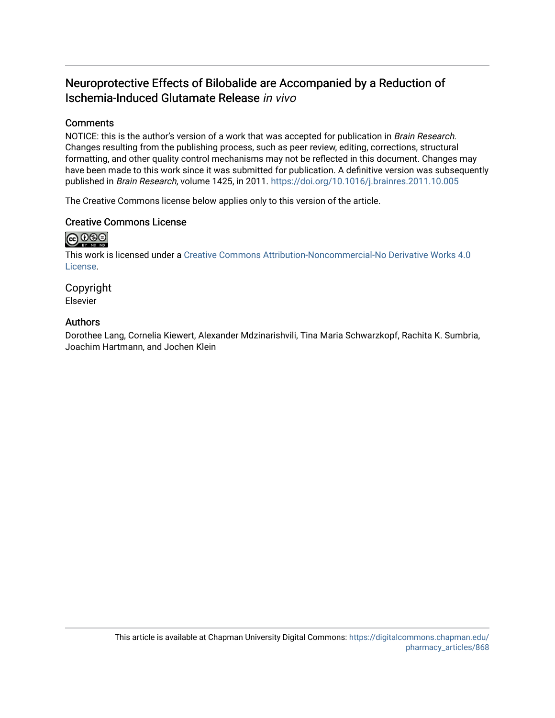# Neuroprotective Effects of Bilobalide are Accompanied by a Reduction of Ischemia-Induced Glutamate Release in vivo

# **Comments**

NOTICE: this is the author's version of a work that was accepted for publication in Brain Research. Changes resulting from the publishing process, such as peer review, editing, corrections, structural formatting, and other quality control mechanisms may not be reflected in this document. Changes may have been made to this work since it was submitted for publication. A definitive version was subsequently published in Brain Research, volume 1425, in 2011. <https://doi.org/10.1016/j.brainres.2011.10.005>

The Creative Commons license below applies only to this version of the article.

# Creative Commons License

# $\bigcirc$  000

This work is licensed under a [Creative Commons Attribution-Noncommercial-No Derivative Works 4.0](https://creativecommons.org/licenses/by-nc-nd/4.0/) [License](https://creativecommons.org/licenses/by-nc-nd/4.0/).

Copyright Elsevier

# Authors

Dorothee Lang, Cornelia Kiewert, Alexander Mdzinarishvili, Tina Maria Schwarzkopf, Rachita K. Sumbria, Joachim Hartmann, and Jochen Klein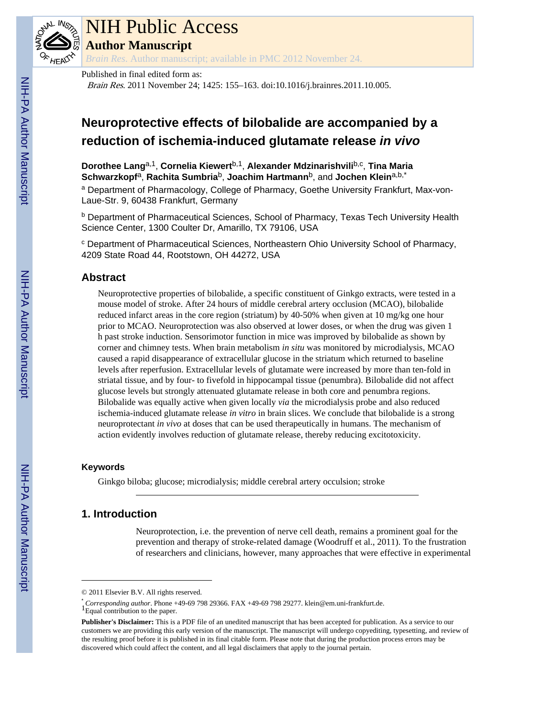

# NIH Public Access

**Author Manuscript**

*Brain Res*. Author manuscript; available in PMC 2012 November 24.

Published in final edited form as:

Brain Res. 2011 November 24; 1425: 155–163. doi:10.1016/j.brainres.2011.10.005.

# **Neuroprotective effects of bilobalide are accompanied by a reduction of ischemia-induced glutamate release** *in vivo*

**Dorothee Lang**a,1, **Cornelia Kiewert**b,1, **Alexander Mdzinarishvili**b,c , **Tina Maria Schwarzkopf**a, **Rachita Sumbria**b, **Joachim Hartmann**b, and **Jochen Klein**a,b,\* <sup>a</sup> Department of Pharmacology, College of Pharmacy, Goethe University Frankfurt, Max-von-Laue-Str. 9, 60438 Frankfurt, Germany

<sup>b</sup> Department of Pharmaceutical Sciences, School of Pharmacy, Texas Tech University Health Science Center, 1300 Coulter Dr, Amarillo, TX 79106, USA

<sup>c</sup> Department of Pharmaceutical Sciences, Northeastern Ohio University School of Pharmacy, 4209 State Road 44, Rootstown, OH 44272, USA

# **Abstract**

Neuroprotective properties of bilobalide, a specific constituent of Ginkgo extracts, were tested in a mouse model of stroke. After 24 hours of middle cerebral artery occlusion (MCAO), bilobalide reduced infarct areas in the core region (striatum) by 40-50% when given at 10 mg/kg one hour prior to MCAO. Neuroprotection was also observed at lower doses, or when the drug was given 1 h past stroke induction. Sensorimotor function in mice was improved by bilobalide as shown by corner and chimney tests. When brain metabolism *in situ* was monitored by microdialysis, MCAO caused a rapid disappearance of extracellular glucose in the striatum which returned to baseline levels after reperfusion. Extracellular levels of glutamate were increased by more than ten-fold in striatal tissue, and by four- to fivefold in hippocampal tissue (penumbra). Bilobalide did not affect glucose levels but strongly attenuated glutamate release in both core and penumbra regions. Bilobalide was equally active when given locally *via* the microdialysis probe and also reduced ischemia-induced glutamate release *in vitro* in brain slices. We conclude that bilobalide is a strong neuroprotectant *in vivo* at doses that can be used therapeutically in humans. The mechanism of action evidently involves reduction of glutamate release, thereby reducing excitotoxicity.

#### **Keywords**

Ginkgo biloba; glucose; microdialysis; middle cerebral artery occulsion; stroke

# **1. Introduction**

Neuroprotection, i.e. the prevention of nerve cell death, remains a prominent goal for the prevention and therapy of stroke-related damage (Woodruff et al., 2011). To the frustration of researchers and clinicians, however, many approaches that were effective in experimental

<sup>© 2011</sup> Elsevier B.V. All rights reserved.

<sup>\*</sup> *Corresponding author*. Phone +49-69 798 29366. FAX +49-69 798 29277. klein@em.uni-frankfurt.de. <sup>1</sup>Equal contribution to the paper.

**Publisher's Disclaimer:** This is a PDF file of an unedited manuscript that has been accepted for publication. As a service to our customers we are providing this early version of the manuscript. The manuscript will undergo copyediting, typesetting, and review of the resulting proof before it is published in its final citable form. Please note that during the production process errors may be discovered which could affect the content, and all legal disclaimers that apply to the journal pertain.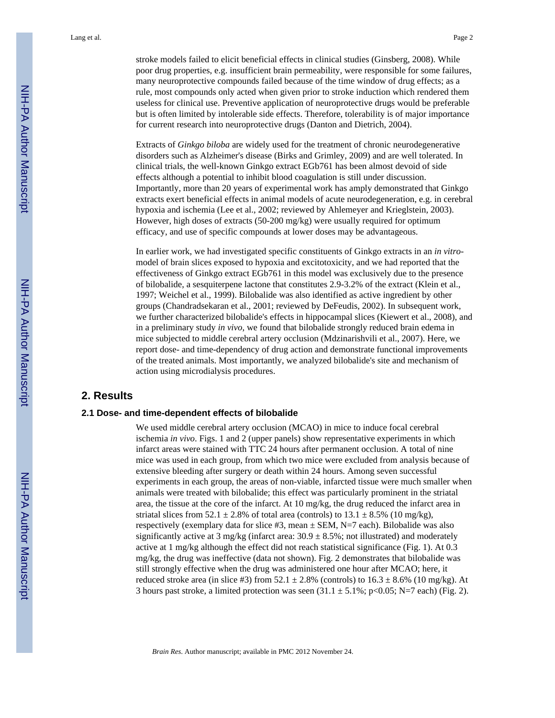stroke models failed to elicit beneficial effects in clinical studies (Ginsberg, 2008). While poor drug properties, e.g. insufficient brain permeability, were responsible for some failures, many neuroprotective compounds failed because of the time window of drug effects; as a rule, most compounds only acted when given prior to stroke induction which rendered them useless for clinical use. Preventive application of neuroprotective drugs would be preferable but is often limited by intolerable side effects. Therefore, tolerability is of major importance for current research into neuroprotective drugs (Danton and Dietrich, 2004).

Extracts of *Ginkgo biloba* are widely used for the treatment of chronic neurodegenerative disorders such as Alzheimer's disease (Birks and Grimley, 2009) and are well tolerated. In clinical trials, the well-known Ginkgo extract EGb761 has been almost devoid of side effects although a potential to inhibit blood coagulation is still under discussion. Importantly, more than 20 years of experimental work has amply demonstrated that Ginkgo extracts exert beneficial effects in animal models of acute neurodegeneration, e.g. in cerebral hypoxia and ischemia (Lee et al., 2002; reviewed by Ahlemeyer and Krieglstein, 2003). However, high doses of extracts (50-200 mg/kg) were usually required for optimum efficacy, and use of specific compounds at lower doses may be advantageous.

In earlier work, we had investigated specific constituents of Ginkgo extracts in an *in vitro*model of brain slices exposed to hypoxia and excitotoxicity, and we had reported that the effectiveness of Ginkgo extract EGb761 in this model was exclusively due to the presence of bilobalide, a sesquiterpene lactone that constitutes 2.9-3.2% of the extract (Klein et al., 1997; Weichel et al., 1999). Bilobalide was also identified as active ingredient by other groups (Chandradsekaran et al., 2001; reviewed by DeFeudis, 2002). In subsequent work, we further characterized bilobalide's effects in hippocampal slices (Kiewert et al., 2008), and in a preliminary study *in vivo*, we found that bilobalide strongly reduced brain edema in mice subjected to middle cerebral artery occlusion (Mdzinarishvili et al., 2007). Here, we report dose- and time-dependency of drug action and demonstrate functional improvements of the treated animals. Most importantly, we analyzed bilobalide's site and mechanism of action using microdialysis procedures.

## **2. Results**

#### **2.1 Dose- and time-dependent effects of bilobalide**

We used middle cerebral artery occlusion (MCAO) in mice to induce focal cerebral ischemia *in vivo*. Figs. 1 and 2 (upper panels) show representative experiments in which infarct areas were stained with TTC 24 hours after permanent occlusion. A total of nine mice was used in each group, from which two mice were excluded from analysis because of extensive bleeding after surgery or death within 24 hours. Among seven successful experiments in each group, the areas of non-viable, infarcted tissue were much smaller when animals were treated with bilobalide; this effect was particularly prominent in the striatal area, the tissue at the core of the infarct. At 10 mg/kg, the drug reduced the infarct area in striatal slices from 52.1  $\pm$  2.8% of total area (controls) to 13.1  $\pm$  8.5% (10 mg/kg), respectively (exemplary data for slice #3, mean  $\pm$  SEM, N=7 each). Bilobalide was also significantly active at 3 mg/kg (infarct area:  $30.9 \pm 8.5$ %; not illustrated) and moderately active at 1 mg/kg although the effect did not reach statistical significance (Fig. 1). At 0.3 mg/kg, the drug was ineffective (data not shown). Fig. 2 demonstrates that bilobalide was still strongly effective when the drug was administered one hour after MCAO; here, it reduced stroke area (in slice #3) from  $52.1 \pm 2.8\%$  (controls) to  $16.3 \pm 8.6\%$  (10 mg/kg). At 3 hours past stroke, a limited protection was seen  $(31.1 \pm 5.1\%; p<0.05; N=7$  each) (Fig. 2).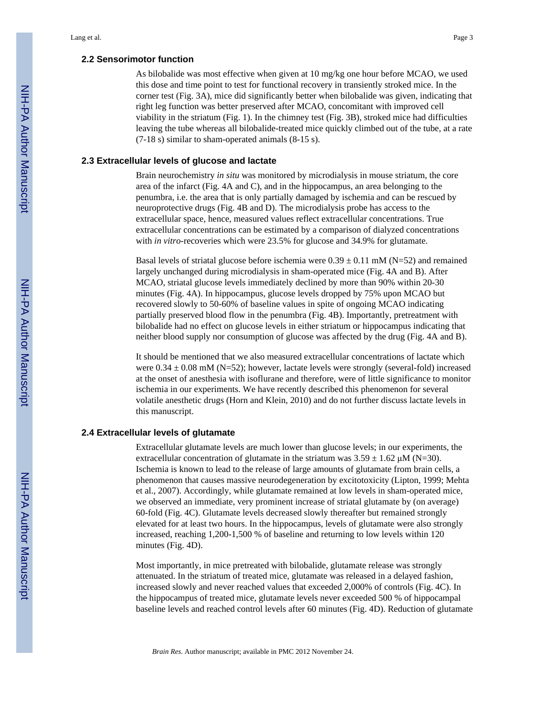#### **2.2 Sensorimotor function**

As bilobalide was most effective when given at 10 mg/kg one hour before MCAO, we used this dose and time point to test for functional recovery in transiently stroked mice. In the corner test (Fig. 3A), mice did significantly better when bilobalide was given, indicating that right leg function was better preserved after MCAO, concomitant with improved cell viability in the striatum (Fig. 1). In the chimney test (Fig. 3B), stroked mice had difficulties leaving the tube whereas all bilobalide-treated mice quickly climbed out of the tube, at a rate (7-18 s) similar to sham-operated animals (8-15 s).

#### **2.3 Extracellular levels of glucose and lactate**

Brain neurochemistry *in situ* was monitored by microdialysis in mouse striatum, the core area of the infarct (Fig. 4A and C), and in the hippocampus, an area belonging to the penumbra, i.e. the area that is only partially damaged by ischemia and can be rescued by neuroprotective drugs (Fig. 4B and D). The microdialysis probe has access to the extracellular space, hence, measured values reflect extracellular concentrations. True extracellular concentrations can be estimated by a comparison of dialyzed concentrations with *in vitro-recoveries which were 23.5%* for glucose and 34.9% for glutamate.

Basal levels of striatal glucose before ischemia were  $0.39 \pm 0.11$  mM (N=52) and remained largely unchanged during microdialysis in sham-operated mice (Fig. 4A and B). After MCAO, striatal glucose levels immediately declined by more than 90% within 20-30 minutes (Fig. 4A). In hippocampus, glucose levels dropped by 75% upon MCAO but recovered slowly to 50-60% of baseline values in spite of ongoing MCAO indicating partially preserved blood flow in the penumbra (Fig. 4B). Importantly, pretreatment with bilobalide had no effect on glucose levels in either striatum or hippocampus indicating that neither blood supply nor consumption of glucose was affected by the drug (Fig. 4A and B).

It should be mentioned that we also measured extracellular concentrations of lactate which were  $0.34 \pm 0.08$  mM (N=52); however, lactate levels were strongly (several-fold) increased at the onset of anesthesia with isoflurane and therefore, were of little significance to monitor ischemia in our experiments. We have recently described this phenomenon for several volatile anesthetic drugs (Horn and Klein, 2010) and do not further discuss lactate levels in this manuscript.

#### **2.4 Extracellular levels of glutamate**

Extracellular glutamate levels are much lower than glucose levels; in our experiments, the extracellular concentration of glutamate in the striatum was  $3.59 \pm 1.62 \mu M$  (N=30). Ischemia is known to lead to the release of large amounts of glutamate from brain cells, a phenomenon that causes massive neurodegeneration by excitotoxicity (Lipton, 1999; Mehta et al., 2007). Accordingly, while glutamate remained at low levels in sham-operated mice, we observed an immediate, very prominent increase of striatal glutamate by (on average) 60-fold (Fig. 4C). Glutamate levels decreased slowly thereafter but remained strongly elevated for at least two hours. In the hippocampus, levels of glutamate were also strongly increased, reaching 1,200-1,500 % of baseline and returning to low levels within 120 minutes (Fig. 4D).

Most importantly, in mice pretreated with bilobalide, glutamate release was strongly attenuated. In the striatum of treated mice, glutamate was released in a delayed fashion, increased slowly and never reached values that exceeded 2,000% of controls (Fig. 4C). In the hippocampus of treated mice, glutamate levels never exceeded 500 % of hippocampal baseline levels and reached control levels after 60 minutes (Fig. 4D). Reduction of glutamate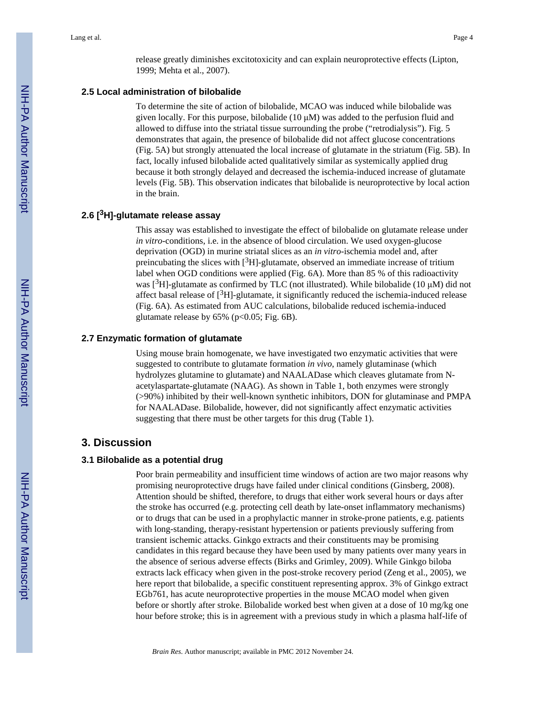release greatly diminishes excitotoxicity and can explain neuroprotective effects (Lipton, 1999; Mehta et al., 2007).

## **2.5 Local administration of bilobalide**

To determine the site of action of bilobalide, MCAO was induced while bilobalide was given locally. For this purpose, bilobalide  $(10 \mu M)$  was added to the perfusion fluid and allowed to diffuse into the striatal tissue surrounding the probe ("retrodialysis"). Fig. 5 demonstrates that again, the presence of bilobalide did not affect glucose concentrations (Fig. 5A) but strongly attenuated the local increase of glutamate in the striatum (Fig. 5B). In fact, locally infused bilobalide acted qualitatively similar as systemically applied drug because it both strongly delayed and decreased the ischemia-induced increase of glutamate levels (Fig. 5B). This observation indicates that bilobalide is neuroprotective by local action in the brain.

#### **2.6 [3H]-glutamate release assay**

This assay was established to investigate the effect of bilobalide on glutamate release under *in vitro*-conditions, i.e. in the absence of blood circulation. We used oxygen-glucose deprivation (OGD) in murine striatal slices as an *in vitro*-ischemia model and, after preincubating the slices with  $[{}^{3}H]$ -glutamate, observed an immediate increase of tritium label when OGD conditions were applied (Fig. 6A). More than 85 % of this radioactivity was  $[3H]$ -glutamate as confirmed by TLC (not illustrated). While bilobalide (10  $\mu$ M) did not affect basal release of  $[3H]$ -glutamate, it significantly reduced the ischemia-induced release (Fig. 6A). As estimated from AUC calculations, bilobalide reduced ischemia-induced glutamate release by  $65\%$  (p<0.05; Fig. 6B).

#### **2.7 Enzymatic formation of glutamate**

Using mouse brain homogenate, we have investigated two enzymatic activities that were suggested to contribute to glutamate formation *in vivo*, namely glutaminase (which hydrolyzes glutamine to glutamate) and NAALADase which cleaves glutamate from Nacetylaspartate-glutamate (NAAG). As shown in Table 1, both enzymes were strongly (>90%) inhibited by their well-known synthetic inhibitors, DON for glutaminase and PMPA for NAALADase. Bilobalide, however, did not significantly affect enzymatic activities suggesting that there must be other targets for this drug (Table 1).

## **3. Discussion**

#### **3.1 Bilobalide as a potential drug**

Poor brain permeability and insufficient time windows of action are two major reasons why promising neuroprotective drugs have failed under clinical conditions (Ginsberg, 2008). Attention should be shifted, therefore, to drugs that either work several hours or days after the stroke has occurred (e.g. protecting cell death by late-onset inflammatory mechanisms) or to drugs that can be used in a prophylactic manner in stroke-prone patients, e.g. patients with long-standing, therapy-resistant hypertension or patients previously suffering from transient ischemic attacks. Ginkgo extracts and their constituents may be promising candidates in this regard because they have been used by many patients over many years in the absence of serious adverse effects (Birks and Grimley, 2009). While Ginkgo biloba extracts lack efficacy when given in the post-stroke recovery period (Zeng et al., 2005), we here report that bilobalide, a specific constituent representing approx. 3% of Ginkgo extract EGb761, has acute neuroprotective properties in the mouse MCAO model when given before or shortly after stroke. Bilobalide worked best when given at a dose of 10 mg/kg one hour before stroke; this is in agreement with a previous study in which a plasma half-life of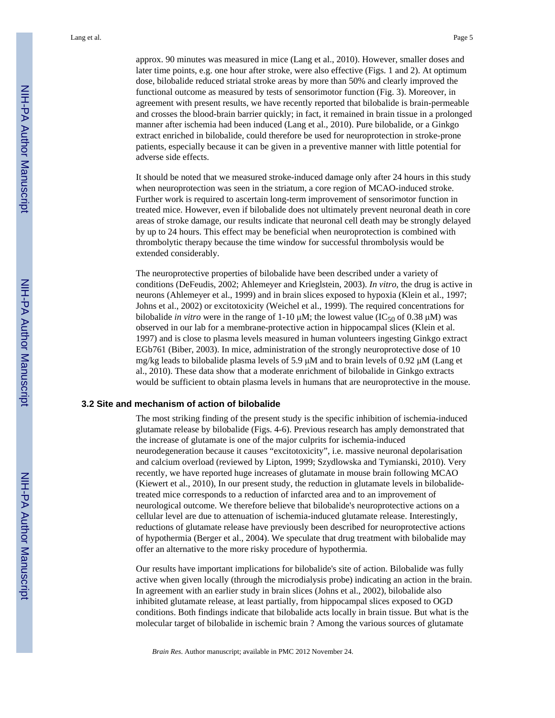approx. 90 minutes was measured in mice (Lang et al., 2010). However, smaller doses and later time points, e.g. one hour after stroke, were also effective (Figs. 1 and 2). At optimum dose, bilobalide reduced striatal stroke areas by more than 50% and clearly improved the functional outcome as measured by tests of sensorimotor function (Fig. 3). Moreover, in agreement with present results, we have recently reported that bilobalide is brain-permeable and crosses the blood-brain barrier quickly; in fact, it remained in brain tissue in a prolonged manner after ischemia had been induced (Lang et al., 2010). Pure bilobalide, or a Ginkgo extract enriched in bilobalide, could therefore be used for neuroprotection in stroke-prone patients, especially because it can be given in a preventive manner with little potential for adverse side effects.

It should be noted that we measured stroke-induced damage only after 24 hours in this study when neuroprotection was seen in the striatum, a core region of MCAO-induced stroke. Further work is required to ascertain long-term improvement of sensorimotor function in treated mice. However, even if bilobalide does not ultimately prevent neuronal death in core areas of stroke damage, our results indicate that neuronal cell death may be strongly delayed by up to 24 hours. This effect may be beneficial when neuroprotection is combined with thrombolytic therapy because the time window for successful thrombolysis would be extended considerably.

The neuroprotective properties of bilobalide have been described under a variety of conditions (DeFeudis, 2002; Ahlemeyer and Krieglstein, 2003). *In vitro*, the drug is active in neurons (Ahlemeyer et al., 1999) and in brain slices exposed to hypoxia (Klein et al., 1997; Johns et al., 2002) or excitotoxicity (Weichel et al., 1999). The required concentrations for bilobalide *in vitro* were in the range of 1-10  $\mu$ M; the lowest value (IC<sub>50</sub> of 0.38  $\mu$ M) was observed in our lab for a membrane-protective action in hippocampal slices (Klein et al. 1997) and is close to plasma levels measured in human volunteers ingesting Ginkgo extract EGb761 (Biber, 2003). In mice, administration of the strongly neuroprotective dose of 10 mg/kg leads to bilobalide plasma levels of 5.9 μM and to brain levels of 0.92 μM (Lang et al., 2010). These data show that a moderate enrichment of bilobalide in Ginkgo extracts would be sufficient to obtain plasma levels in humans that are neuroprotective in the mouse.

#### **3.2 Site and mechanism of action of bilobalide**

The most striking finding of the present study is the specific inhibition of ischemia-induced glutamate release by bilobalide (Figs. 4-6). Previous research has amply demonstrated that the increase of glutamate is one of the major culprits for ischemia-induced neurodegeneration because it causes "excitotoxicity", i.e. massive neuronal depolarisation and calcium overload (reviewed by Lipton, 1999; Szydlowska and Tymianski, 2010). Very recently, we have reported huge increases of glutamate in mouse brain following MCAO (Kiewert et al., 2010), In our present study, the reduction in glutamate levels in bilobalidetreated mice corresponds to a reduction of infarcted area and to an improvement of neurological outcome. We therefore believe that bilobalide's neuroprotective actions on a cellular level are due to attenuation of ischemia-induced glutamate release. Interestingly, reductions of glutamate release have previously been described for neuroprotective actions of hypothermia (Berger et al., 2004). We speculate that drug treatment with bilobalide may offer an alternative to the more risky procedure of hypothermia.

Our results have important implications for bilobalide's site of action. Bilobalide was fully active when given locally (through the microdialysis probe) indicating an action in the brain. In agreement with an earlier study in brain slices (Johns et al., 2002), bilobalide also inhibited glutamate release, at least partially, from hippocampal slices exposed to OGD conditions. Both findings indicate that bilobalide acts locally in brain tissue. But what is the molecular target of bilobalide in ischemic brain ? Among the various sources of glutamate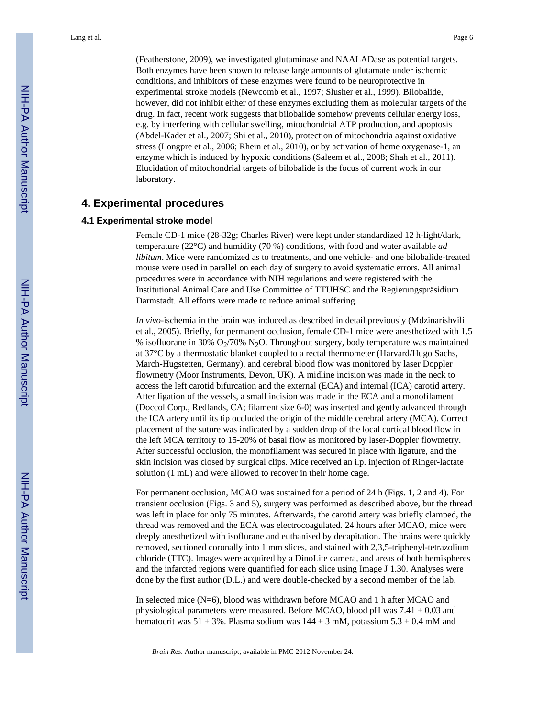(Featherstone, 2009), we investigated glutaminase and NAALADase as potential targets. Both enzymes have been shown to release large amounts of glutamate under ischemic conditions, and inhibitors of these enzymes were found to be neuroprotective in experimental stroke models (Newcomb et al., 1997; Slusher et al., 1999). Bilobalide, however, did not inhibit either of these enzymes excluding them as molecular targets of the drug. In fact, recent work suggests that bilobalide somehow prevents cellular energy loss, e.g. by interfering with cellular swelling, mitochondrial ATP production, and apoptosis (Abdel-Kader et al., 2007; Shi et al., 2010), protection of mitochondria against oxidative stress (Longpre et al., 2006; Rhein et al., 2010), or by activation of heme oxygenase-1, an enzyme which is induced by hypoxic conditions (Saleem et al., 2008; Shah et al., 2011). Elucidation of mitochondrial targets of bilobalide is the focus of current work in our laboratory.

## **4. Experimental procedures**

#### **4.1 Experimental stroke model**

Female CD-1 mice (28-32g; Charles River) were kept under standardized 12 h-light/dark, temperature (22°C) and humidity (70 %) conditions, with food and water available *ad libitum*. Mice were randomized as to treatments, and one vehicle- and one bilobalide-treated mouse were used in parallel on each day of surgery to avoid systematic errors. All animal procedures were in accordance with NIH regulations and were registered with the Institutional Animal Care and Use Committee of TTUHSC and the Regierungspräsidium Darmstadt. All efforts were made to reduce animal suffering.

*In vivo*-ischemia in the brain was induced as described in detail previously (Mdzinarishvili et al., 2005). Briefly, for permanent occlusion, female CD-1 mice were anesthetized with 1.5 % isofluorane in 30%  $O_2/70\%$  N<sub>2</sub>O. Throughout surgery, body temperature was maintained at 37°C by a thermostatic blanket coupled to a rectal thermometer (Harvard/Hugo Sachs, March-Hugstetten, Germany), and cerebral blood flow was monitored by laser Doppler flowmetry (Moor Instruments, Devon, UK). A midline incision was made in the neck to access the left carotid bifurcation and the external (ECA) and internal (ICA) carotid artery. After ligation of the vessels, a small incision was made in the ECA and a monofilament (Doccol Corp., Redlands, CA; filament size 6-0) was inserted and gently advanced through the ICA artery until its tip occluded the origin of the middle cerebral artery (MCA). Correct placement of the suture was indicated by a sudden drop of the local cortical blood flow in the left MCA territory to 15-20% of basal flow as monitored by laser-Doppler flowmetry. After successful occlusion, the monofilament was secured in place with ligature, and the skin incision was closed by surgical clips. Mice received an i.p. injection of Ringer-lactate solution (1 mL) and were allowed to recover in their home cage.

For permanent occlusion, MCAO was sustained for a period of 24 h (Figs. 1, 2 and 4). For transient occlusion (Figs. 3 and 5), surgery was performed as described above, but the thread was left in place for only 75 minutes. Afterwards, the carotid artery was briefly clamped, the thread was removed and the ECA was electrocoagulated. 24 hours after MCAO, mice were deeply anesthetized with isoflurane and euthanised by decapitation. The brains were quickly removed, sectioned coronally into 1 mm slices, and stained with 2,3,5-triphenyl-tetrazolium chloride (TTC). Images were acquired by a DinoLite camera, and areas of both hemispheres and the infarcted regions were quantified for each slice using Image J 1.30. Analyses were done by the first author (D.L.) and were double-checked by a second member of the lab.

In selected mice (N=6), blood was withdrawn before MCAO and 1 h after MCAO and physiological parameters were measured. Before MCAO, blood pH was  $7.41 \pm 0.03$  and hematocrit was  $51 \pm 3\%$ . Plasma sodium was  $144 \pm 3$  mM, potassium  $5.3 \pm 0.4$  mM and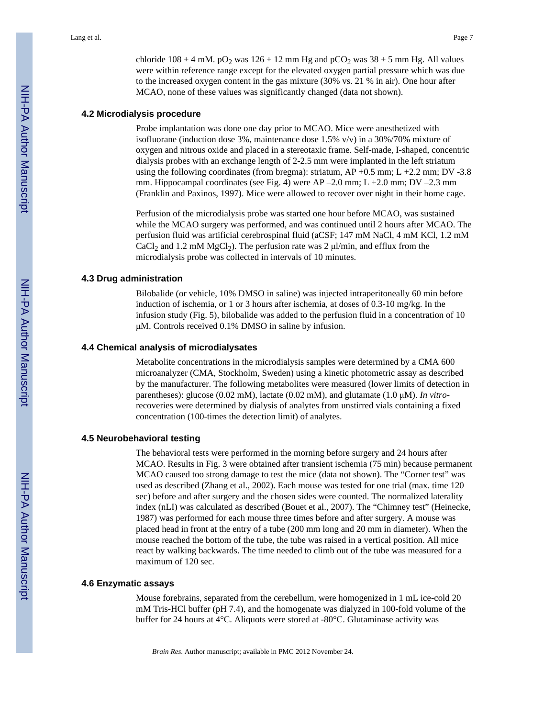chloride 108  $\pm$  4 mM. pO<sub>2</sub> was 126  $\pm$  12 mm Hg and pCO<sub>2</sub> was 38  $\pm$  5 mm Hg. All values were within reference range except for the elevated oxygen partial pressure which was due to the increased oxygen content in the gas mixture (30% vs. 21 % in air). One hour after MCAO, none of these values was significantly changed (data not shown).

#### **4.2 Microdialysis procedure**

Probe implantation was done one day prior to MCAO. Mice were anesthetized with isofluorane (induction dose 3%, maintenance dose 1.5%  $v/v$ ) in a 30%/70% mixture of oxygen and nitrous oxide and placed in a stereotaxic frame. Self-made, I-shaped, concentric dialysis probes with an exchange length of 2-2.5 mm were implanted in the left striatum using the following coordinates (from bregma): striatum,  $AP + 0.5$  mm;  $L + 2.2$  mm;  $DV - 3.8$ mm. Hippocampal coordinates (see Fig. 4) were AP –2.0 mm; L +2.0 mm; DV –2.3 mm (Franklin and Paxinos, 1997). Mice were allowed to recover over night in their home cage.

Perfusion of the microdialysis probe was started one hour before MCAO, was sustained while the MCAO surgery was performed, and was continued until 2 hours after MCAO. The perfusion fluid was artificial cerebrospinal fluid (aCSF; 147 mM NaCl, 4 mM KCl, 1.2 mM CaCl<sub>2</sub> and 1.2 mM MgCl<sub>2</sub>). The perfusion rate was 2  $\mu$ /min, and efflux from the microdialysis probe was collected in intervals of 10 minutes.

#### **4.3 Drug administration**

Bilobalide (or vehicle, 10% DMSO in saline) was injected intraperitoneally 60 min before induction of ischemia, or 1 or 3 hours after ischemia, at doses of 0.3-10 mg/kg. In the infusion study (Fig. 5), bilobalide was added to the perfusion fluid in a concentration of 10 μM. Controls received 0.1% DMSO in saline by infusion.

#### **4.4 Chemical analysis of microdialysates**

Metabolite concentrations in the microdialysis samples were determined by a CMA 600 microanalyzer (CMA, Stockholm, Sweden) using a kinetic photometric assay as described by the manufacturer. The following metabolites were measured (lower limits of detection in parentheses): glucose (0.02 mM), lactate (0.02 mM), and glutamate (1.0 μM). *In vitro*recoveries were determined by dialysis of analytes from unstirred vials containing a fixed concentration (100-times the detection limit) of analytes.

#### **4.5 Neurobehavioral testing**

The behavioral tests were performed in the morning before surgery and 24 hours after MCAO. Results in Fig. 3 were obtained after transient ischemia (75 min) because permanent MCAO caused too strong damage to test the mice (data not shown). The "Corner test" was used as described (Zhang et al., 2002). Each mouse was tested for one trial (max. time 120 sec) before and after surgery and the chosen sides were counted. The normalized laterality index (nLI) was calculated as described (Bouet et al., 2007). The "Chimney test" (Heinecke, 1987) was performed for each mouse three times before and after surgery. A mouse was placed head in front at the entry of a tube (200 mm long and 20 mm in diameter). When the mouse reached the bottom of the tube, the tube was raised in a vertical position. All mice react by walking backwards. The time needed to climb out of the tube was measured for a maximum of 120 sec.

#### **4.6 Enzymatic assays**

Mouse forebrains, separated from the cerebellum, were homogenized in 1 mL ice-cold 20 mM Tris-HCl buffer (pH 7.4), and the homogenate was dialyzed in 100-fold volume of the buffer for 24 hours at 4°C. Aliquots were stored at -80°C. Glutaminase activity was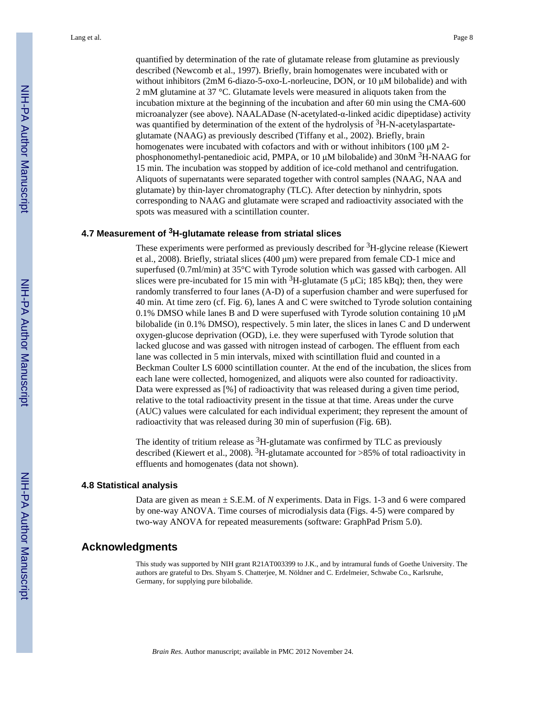quantified by determination of the rate of glutamate release from glutamine as previously described (Newcomb et al., 1997). Briefly, brain homogenates were incubated with or without inhibitors (2mM 6-diazo-5-oxo-L-norleucine, DON, or 10 μM bilobalide) and with 2 mM glutamine at 37 °C. Glutamate levels were measured in aliquots taken from the incubation mixture at the beginning of the incubation and after 60 min using the CMA-600 microanalyzer (see above). NAALADase (N-acetylated-α-linked acidic dipeptidase) activity was quantified by determination of the extent of the hydrolysis of  ${}^{3}$ H-N-acetylaspartateglutamate (NAAG) as previously described (Tiffany et al., 2002). Briefly, brain homogenates were incubated with cofactors and with or without inhibitors (100 μM 2 phosphonomethyl-pentanedioic acid, PMPA, or 10  $\mu$ M bilobalide) and 30nM <sup>3</sup>H-NAAG for 15 min. The incubation was stopped by addition of ice-cold methanol and centrifugation. Aliquots of supernatants were separated together with control samples (NAAG, NAA and glutamate) by thin-layer chromatography (TLC). After detection by ninhydrin, spots corresponding to NAAG and glutamate were scraped and radioactivity associated with the spots was measured with a scintillation counter.

#### **4.7 Measurement of 3H-glutamate release from striatal slices**

These experiments were performed as previously described for <sup>3</sup>H-glycine release (Kiewert et al., 2008). Briefly, striatal slices (400 μm) were prepared from female CD-1 mice and superfused (0.7ml/min) at 35°C with Tyrode solution which was gassed with carbogen. All slices were pre-incubated for 15 min with  ${}^{3}H$ -glutamate (5 µCi; 185 kBq); then, they were randomly transferred to four lanes (A-D) of a superfusion chamber and were superfused for 40 min. At time zero (cf. Fig. 6), lanes A and C were switched to Tyrode solution containing 0.1% DMSO while lanes B and D were superfused with Tyrode solution containing 10  $\mu$ M bilobalide (in 0.1% DMSO), respectively. 5 min later, the slices in lanes C and D underwent oxygen-glucose deprivation (OGD), i.e. they were superfused with Tyrode solution that lacked glucose and was gassed with nitrogen instead of carbogen. The effluent from each lane was collected in 5 min intervals, mixed with scintillation fluid and counted in a Beckman Coulter LS 6000 scintillation counter. At the end of the incubation, the slices from each lane were collected, homogenized, and aliquots were also counted for radioactivity. Data were expressed as [%] of radioactivity that was released during a given time period, relative to the total radioactivity present in the tissue at that time. Areas under the curve (AUC) values were calculated for each individual experiment; they represent the amount of radioactivity that was released during 30 min of superfusion (Fig. 6B).

The identity of tritium release as  ${}^{3}H$ -glutamate was confirmed by TLC as previously described (Kiewert et al., 2008). <sup>3</sup>H-glutamate accounted for  $>85\%$  of total radioactivity in effluents and homogenates (data not shown).

#### **4.8 Statistical analysis**

Data are given as mean  $\pm$  S.E.M. of *N* experiments. Data in Figs. 1-3 and 6 were compared by one-way ANOVA. Time courses of microdialysis data (Figs. 4-5) were compared by two-way ANOVA for repeated measurements (software: GraphPad Prism 5.0).

## **Acknowledgments**

This study was supported by NIH grant R21AT003399 to J.K., and by intramural funds of Goethe University. The authors are grateful to Drs. Shyam S. Chatterjee, M. Nöldner and C. Erdelmeier, Schwabe Co., Karlsruhe, Germany, for supplying pure bilobalide.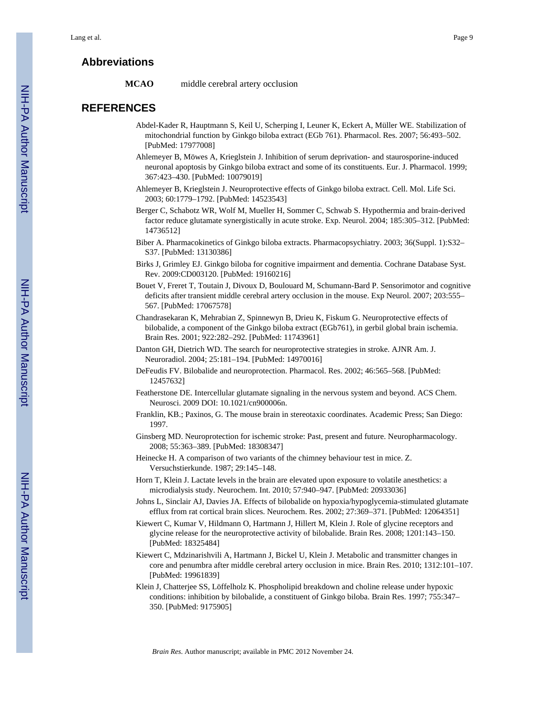## **Abbreviations**

**MCAO** middle cerebral artery occlusion

# **REFERENCES**

- Abdel-Kader R, Hauptmann S, Keil U, Scherping I, Leuner K, Eckert A, Müller WE. Stabilization of mitochondrial function by Ginkgo biloba extract (EGb 761). Pharmacol. Res. 2007; 56:493–502. [PubMed: 17977008]
- Ahlemeyer B, Möwes A, Krieglstein J. Inhibition of serum deprivation- and staurosporine-induced neuronal apoptosis by Ginkgo biloba extract and some of its constituents. Eur. J. Pharmacol. 1999; 367:423–430. [PubMed: 10079019]
- Ahlemeyer B, Krieglstein J. Neuroprotective effects of Ginkgo biloba extract. Cell. Mol. Life Sci. 2003; 60:1779–1792. [PubMed: 14523543]
- Berger C, Schabotz WR, Wolf M, Mueller H, Sommer C, Schwab S. Hypothermia and brain-derived factor reduce glutamate synergistically in acute stroke. Exp. Neurol. 2004; 185:305–312. [PubMed: 14736512]
- Biber A. Pharmacokinetics of Ginkgo biloba extracts. Pharmacopsychiatry. 2003; 36(Suppl. 1):S32– S37. [PubMed: 13130386]
- Birks J, Grimley EJ. Ginkgo biloba for cognitive impairment and dementia. Cochrane Database Syst. Rev. 2009:CD003120. [PubMed: 19160216]
- Bouet V, Freret T, Toutain J, Divoux D, Boulouard M, Schumann-Bard P. Sensorimotor and cognitive deficits after transient middle cerebral artery occlusion in the mouse. Exp Neurol. 2007; 203:555– 567. [PubMed: 17067578]
- Chandrasekaran K, Mehrabian Z, Spinnewyn B, Drieu K, Fiskum G. Neuroprotective effects of bilobalide, a component of the Ginkgo biloba extract (EGb761), in gerbil global brain ischemia. Brain Res. 2001; 922:282–292. [PubMed: 11743961]
- Danton GH, Dietrich WD. The search for neuroprotective strategies in stroke. AJNR Am. J. Neuroradiol. 2004; 25:181–194. [PubMed: 14970016]
- DeFeudis FV. Bilobalide and neuroprotection. Pharmacol. Res. 2002; 46:565–568. [PubMed: 12457632]
- Featherstone DE. Intercellular glutamate signaling in the nervous system and beyond. ACS Chem. Neurosci. 2009 DOI: 10.1021/cn900006n.
- Franklin, KB.; Paxinos, G. The mouse brain in stereotaxic coordinates. Academic Press; San Diego: 1997.
- Ginsberg MD. Neuroprotection for ischemic stroke: Past, present and future. Neuropharmacology. 2008; 55:363–389. [PubMed: 18308347]
- Heinecke H. A comparison of two variants of the chimney behaviour test in mice. Z. Versuchstierkunde. 1987; 29:145–148.
- Horn T, Klein J. Lactate levels in the brain are elevated upon exposure to volatile anesthetics: a microdialysis study. Neurochem. Int. 2010; 57:940–947. [PubMed: 20933036]
- Johns L, Sinclair AJ, Davies JA. Effects of bilobalide on hypoxia/hypoglycemia-stimulated glutamate efflux from rat cortical brain slices. Neurochem. Res. 2002; 27:369–371. [PubMed: 12064351]
- Kiewert C, Kumar V, Hildmann O, Hartmann J, Hillert M, Klein J. Role of glycine receptors and glycine release for the neuroprotective activity of bilobalide. Brain Res. 2008; 1201:143–150. [PubMed: 18325484]
- Kiewert C, Mdzinarishvili A, Hartmann J, Bickel U, Klein J. Metabolic and transmitter changes in core and penumbra after middle cerebral artery occlusion in mice. Brain Res. 2010; 1312:101–107. [PubMed: 19961839]
- Klein J, Chatterjee SS, Löffelholz K. Phospholipid breakdown and choline release under hypoxic conditions: inhibition by bilobalide, a constituent of Ginkgo biloba. Brain Res. 1997; 755:347– 350. [PubMed: 9175905]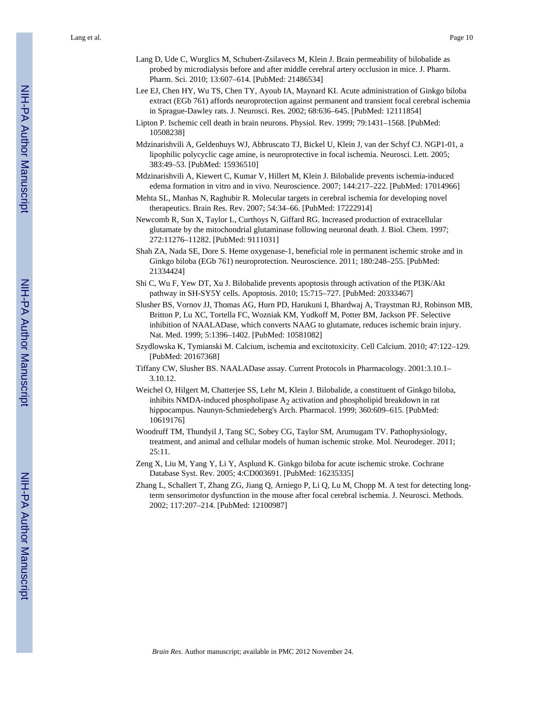Lang et al. Page 10

- Lang D, Ude C, Wurglics M, Schubert-Zsilavecs M, Klein J. Brain permeability of bilobalide as probed by microdialysis before and after middle cerebral artery occlusion in mice. J. Pharm. Pharm. Sci. 2010; 13:607–614. [PubMed: 21486534]
- Lee EJ, Chen HY, Wu TS, Chen TY, Ayoub IA, Maynard KI. Acute administration of Ginkgo biloba extract (EGb 761) affords neuroprotection against permanent and transient focal cerebral ischemia in Sprague-Dawley rats. J. Neurosci. Res. 2002; 68:636–645. [PubMed: 12111854]
- Lipton P. Ischemic cell death in brain neurons. Physiol. Rev. 1999; 79:1431–1568. [PubMed: 10508238]
- Mdzinarishvili A, Geldenhuys WJ, Abbruscato TJ, Bickel U, Klein J, van der Schyf CJ. NGP1-01, a lipophilic polycyclic cage amine, is neuroprotective in focal ischemia. Neurosci. Lett. 2005; 383:49–53. [PubMed: 15936510]
- Mdzinarishvili A, Kiewert C, Kumar V, Hillert M, Klein J. Bilobalide prevents ischemia-induced edema formation in vitro and in vivo. Neuroscience. 2007; 144:217–222. [PubMed: 17014966]
- Mehta SL, Manhas N, Raghubir R. Molecular targets in cerebral ischemia for developing novel therapeutics. Brain Res. Rev. 2007; 54:34–66. [PubMed: 17222914]
- Newcomb R, Sun X, Taylor L, Curthoys N, Giffard RG. Increased production of extracellular glutamate by the mitochondrial glutaminase following neuronal death. J. Biol. Chem. 1997; 272:11276–11282. [PubMed: 9111031]
- Shah ZA, Nada SE, Dore S. Heme oxygenase-1, beneficial role in permanent ischemic stroke and in Ginkgo biloba (EGb 761) neuroprotection. Neuroscience. 2011; 180:248–255. [PubMed: 21334424]
- Shi C, Wu F, Yew DT, Xu J. Bilobalide prevents apoptosis through activation of the PI3K/Akt pathway in SH-SY5Y cells. Apoptosis. 2010; 15:715–727. [PubMed: 20333467]
- Slusher BS, Vornov JJ, Thomas AG, Hurn PD, Harukuni I, Bhardwaj A, Traystman RJ, Robinson MB, Britton P, Lu XC, Tortella FC, Wozniak KM, Yudkoff M, Potter BM, Jackson PF. Selective inhibition of NAALADase, which converts NAAG to glutamate, reduces ischemic brain injury. Nat. Med. 1999; 5:1396–1402. [PubMed: 10581082]
- Szydlowska K, Tymianski M. Calcium, ischemia and excitotoxicity. Cell Calcium. 2010; 47:122–129. [PubMed: 20167368]
- Tiffany CW, Slusher BS. NAALADase assay. Current Protocols in Pharmacology. 2001:3.10.1– 3.10.12.
- Weichel O, Hilgert M, Chatterjee SS, Lehr M, Klein J. Bilobalide, a constituent of Ginkgo biloba, inhibits NMDA-induced phospholipase  $A<sub>2</sub>$  activation and phospholipid breakdown in rat hippocampus. Naunyn-Schmiedeberg's Arch. Pharmacol. 1999; 360:609–615. [PubMed: 10619176]
- Woodruff TM, Thundyil J, Tang SC, Sobey CG, Taylor SM, Arumugam TV. Pathophysiology, treatment, and animal and cellular models of human ischemic stroke. Mol. Neurodeger. 2011; 25:11.
- Zeng X, Liu M, Yang Y, Li Y, Asplund K. Ginkgo biloba for acute ischemic stroke. Cochrane Database Syst. Rev. 2005; 4:CD003691. [PubMed: 16235335]
- Zhang L, Schallert T, Zhang ZG, Jiang Q, Arniego P, Li Q, Lu M, Chopp M. A test for detecting longterm sensorimotor dysfunction in the mouse after focal cerebral ischemia. J. Neurosci. Methods. 2002; 117:207–214. [PubMed: 12100987]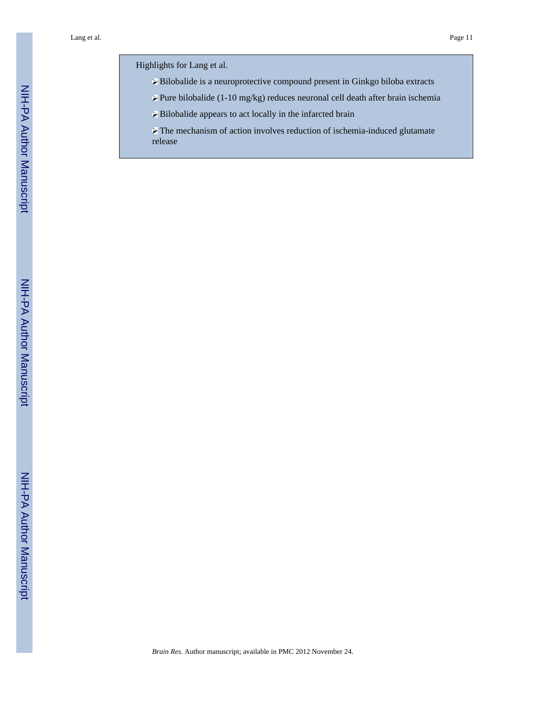Highlights for Lang et al.

- Bilobalide is a neuroprotective compound present in Ginkgo biloba extracts
- $\triangleright$  Pure bilobalide (1-10 mg/kg) reduces neuronal cell death after brain ischemia
- Bilobalide appears to act locally in the infarcted brain
- $\triangleright$  The mechanism of action involves reduction of ischemia-induced glutamate release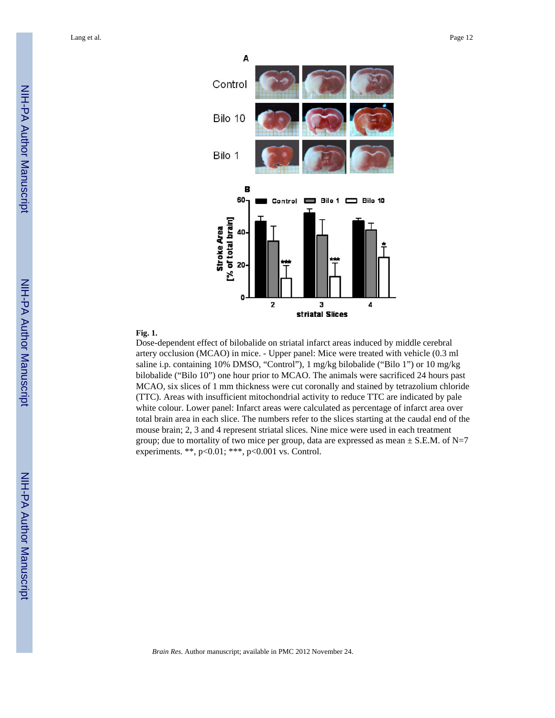Lang et al. Page 12



#### **Fig. 1.**

Dose-dependent effect of bilobalide on striatal infarct areas induced by middle cerebral artery occlusion (MCAO) in mice. - Upper panel: Mice were treated with vehicle (0.3 ml saline i.p. containing 10% DMSO, "Control"), 1 mg/kg bilobalide ("Bilo 1") or 10 mg/kg bilobalide ("Bilo 10") one hour prior to MCAO. The animals were sacrificed 24 hours past MCAO, six slices of 1 mm thickness were cut coronally and stained by tetrazolium chloride (TTC). Areas with insufficient mitochondrial activity to reduce TTC are indicated by pale white colour. Lower panel: Infarct areas were calculated as percentage of infarct area over total brain area in each slice. The numbers refer to the slices starting at the caudal end of the mouse brain; 2, 3 and 4 represent striatal slices. Nine mice were used in each treatment group; due to mortality of two mice per group, data are expressed as mean  $\pm$  S.E.M. of N=7 experiments. \*\*,  $p<0.01$ ; \*\*\*,  $p<0.001$  vs. Control.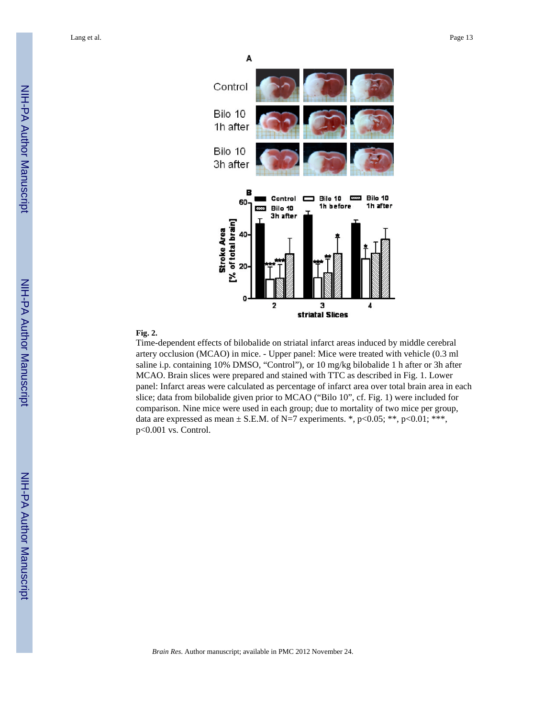Lang et al. Page 13



#### **Fig. 2.**

Time-dependent effects of bilobalide on striatal infarct areas induced by middle cerebral artery occlusion (MCAO) in mice. - Upper panel: Mice were treated with vehicle (0.3 ml saline i.p. containing 10% DMSO, "Control"), or 10 mg/kg bilobalide 1 h after or 3h after MCAO. Brain slices were prepared and stained with TTC as described in Fig. 1. Lower panel: Infarct areas were calculated as percentage of infarct area over total brain area in each slice; data from bilobalide given prior to MCAO ("Bilo 10", cf. Fig. 1) were included for comparison. Nine mice were used in each group; due to mortality of two mice per group, data are expressed as mean  $\pm$  S.E.M. of N=7 experiments. \*, p<0.05; \*\*, p<0.01; \*\*\*, p<0.001 vs. Control.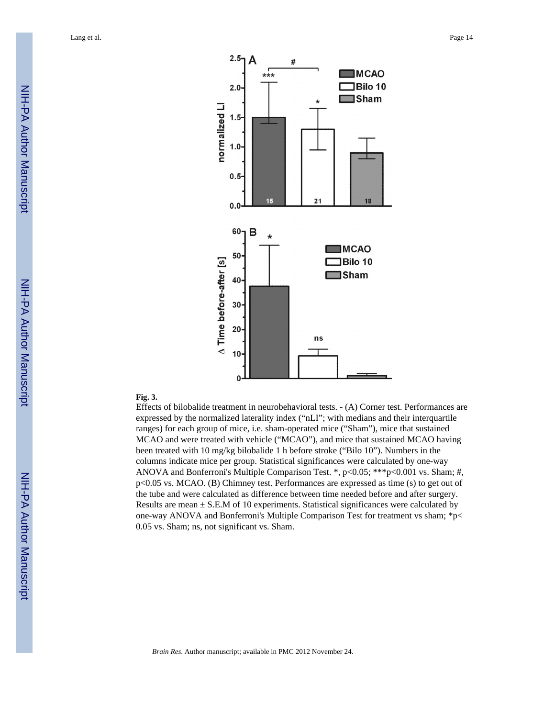

#### **Fig. 3.**

Effects of bilobalide treatment in neurobehavioral tests. - (A) Corner test. Performances are expressed by the normalized laterality index ("nLI"; with medians and their interquartile ranges) for each group of mice, i.e. sham-operated mice ("Sham"), mice that sustained MCAO and were treated with vehicle ("MCAO"), and mice that sustained MCAO having been treated with 10 mg/kg bilobalide 1 h before stroke ("Bilo 10"). Numbers in the columns indicate mice per group. Statistical significances were calculated by one-way ANOVA and Bonferroni's Multiple Comparison Test. \*, p<0.05; \*\*\*p<0.001 vs. Sham; #, p<0.05 vs. MCAO. (B) Chimney test. Performances are expressed as time (s) to get out of the tube and were calculated as difference between time needed before and after surgery. Results are mean  $\pm$  S.E.M of 10 experiments. Statistical significances were calculated by one-way ANOVA and Bonferroni's Multiple Comparison Test for treatment vs sham; \*p< 0.05 vs. Sham; ns, not significant vs. Sham.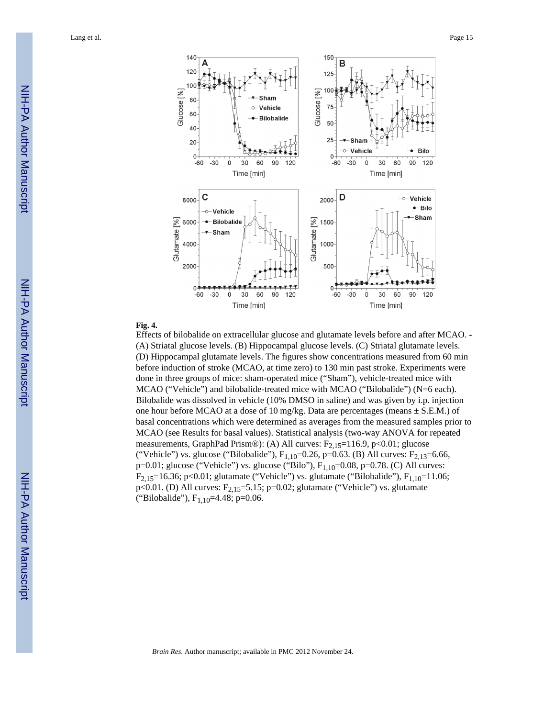

#### **Fig. 4.**

Effects of bilobalide on extracellular glucose and glutamate levels before and after MCAO. - (A) Striatal glucose levels. (B) Hippocampal glucose levels. (C) Striatal glutamate levels. (D) Hippocampal glutamate levels. The figures show concentrations measured from 60 min before induction of stroke (MCAO, at time zero) to 130 min past stroke. Experiments were done in three groups of mice: sham-operated mice ("Sham"), vehicle-treated mice with MCAO ("Vehicle") and bilobalide-treated mice with MCAO ("Bilobalide") (N=6 each). Bilobalide was dissolved in vehicle (10% DMSO in saline) and was given by i.p. injection one hour before MCAO at a dose of 10 mg/kg. Data are percentages (means  $\pm$  S.E.M.) of basal concentrations which were determined as averages from the measured samples prior to MCAO (see Results for basal values). Statistical analysis (two-way ANOVA for repeated measurements, GraphPad Prism®): (A) All curves: F<sub>2,15</sub>=116.9, p<0.01; glucose ("Vehicle") vs. glucose ("Bilobalide"),  $F_{1,10}$ =0.26, p=0.63. (B) All curves:  $F_{2,13}$ =6.66, p=0.01; glucose ("Vehicle") vs. glucose ("Bilo"),  $F_{1,10}$ =0.08, p=0.78. (C) All curves: F<sub>2,15</sub>=16.36; p<0.01; glutamate ("Vehicle") vs. glutamate ("Bilobalide"),  $F_{1,10}=11.06$ ; p<0.01. (D) All curves:  $F_{2,15} = 5.15$ ; p=0.02; glutamate ("Vehicle") vs. glutamate ("Bilobalide"), F<sub>1,10</sub>=4.48; p=0.06.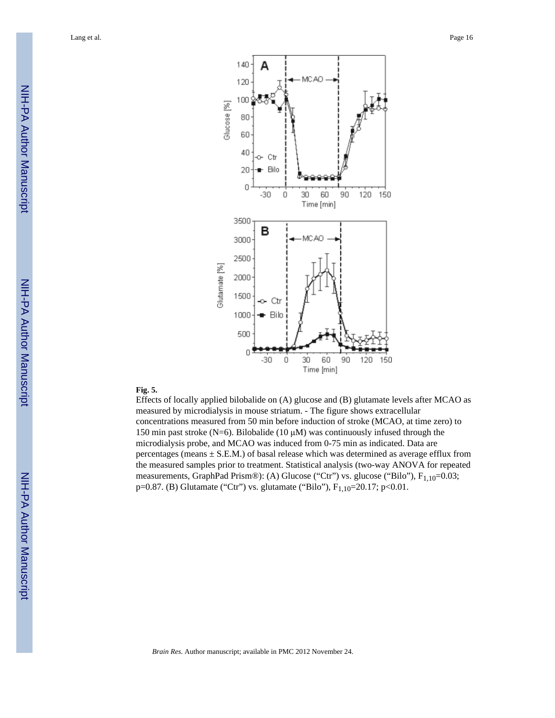

#### **Fig. 5.**

Effects of locally applied bilobalide on (A) glucose and (B) glutamate levels after MCAO as measured by microdialysis in mouse striatum. - The figure shows extracellular concentrations measured from 50 min before induction of stroke (MCAO, at time zero) to 150 min past stroke (N=6). Bilobalide (10 μM) was continuously infused through the microdialysis probe, and MCAO was induced from 0-75 min as indicated. Data are percentages (means  $\pm$  S.E.M.) of basal release which was determined as average efflux from the measured samples prior to treatment. Statistical analysis (two-way ANOVA for repeated measurements, GraphPad Prism®): (A) Glucose ("Ctr") vs. glucose ("Bilo"), F<sub>1,10</sub>=0.03; p=0.87. (B) Glutamate ("Ctr") vs. glutamate ("Bilo"),  $F_{1,10}$ =20.17; p<0.01.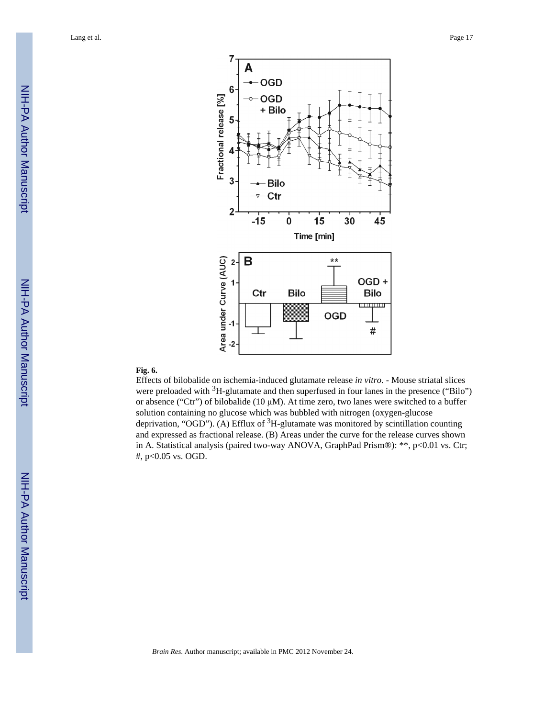

#### **Fig. 6.**

Effects of bilobalide on ischemia-induced glutamate release *in vitro.* - Mouse striatal slices were preloaded with <sup>3</sup>H-glutamate and then superfused in four lanes in the presence ("Bilo") or absence ("Ctr") of bilobalide (10  $\mu$ M). At time zero, two lanes were switched to a buffer solution containing no glucose which was bubbled with nitrogen (oxygen-glucose deprivation, "OGD"). (A) Efflux of  ${}^{3}H$ -glutamate was monitored by scintillation counting and expressed as fractional release. (B) Areas under the curve for the release curves shown in A. Statistical analysis (paired two-way ANOVA, GraphPad Prism®): \*\*, p<0.01 vs. Ctr; #, p<0.05 vs. OGD.